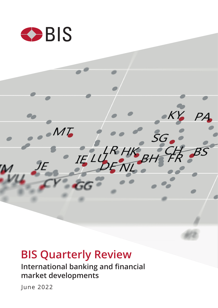

# **BIS Quarterly Review**

**International banking and financial market developments**

June 2022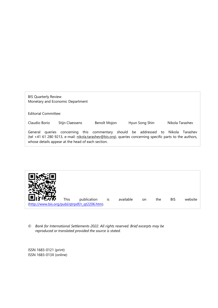BIS Quarterly Review Monetary and Economic Department

Editorial Committee:

Claudio Borio Stijn Claessens Benoît Mojon Hyun Song Shin Nikola Tarashev

General queries concerning this commentary should be addressed to Nikola Tarashev (tel +41 61 280 9213, e-mail: [nikola.tarashev@bis.org\)](mailto:nikola.tarashev@bis.org), queries concerning specific parts to the authors, whose details appear at the head of each section.



*© Bank for International Settlements 2022. All rights reserved. Brief excerpts may be reproduced or translated provided the source is stated.* 

ISSN 1683-0121 (print) ISSN 1683-013X (online)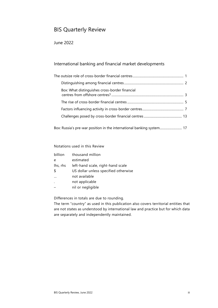# BIS Quarterly Review

# June 2022

# International banking and financial market developments

| Box: What distinguishes cross-border financial                        |  |
|-----------------------------------------------------------------------|--|
|                                                                       |  |
|                                                                       |  |
|                                                                       |  |
| Box: Russia's pre-war position in the international banking system 17 |  |

#### Notations used in this Review

| billion  | thousand million                     |
|----------|--------------------------------------|
| e        | estimated                            |
| lhs, rhs | left-hand scale, right-hand scale    |
| Ŝ.       | US dollar unless specified otherwise |
|          | not available                        |
|          | not applicable                       |
|          | nil or negligible                    |

Differences in totals are due to rounding.

The term "country" as used in this publication also covers territorial entities that are not states as understood by international law and practice but for which data are separately and independently maintained.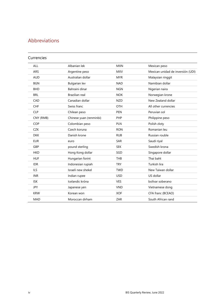# Abbreviations

## Currencies

| <b>ALL</b> | Albanian lek            | <b>MXN</b> | Mexican peso                      |
|------------|-------------------------|------------|-----------------------------------|
| <b>ARS</b> | Argentine peso          | <b>MXV</b> | Mexican unidad de inversión (UDI) |
| <b>AUD</b> | Australian dollar       | <b>MYR</b> | Malaysian ringgit                 |
| <b>BGN</b> | <b>Bulgarian lev</b>    | <b>NAD</b> | Namibian dollar                   |
| <b>BHD</b> | Bahraini dinar          | <b>NGN</b> | Nigerian naira                    |
| <b>BRL</b> | Brazilian real          | <b>NOK</b> | Norwegian krone                   |
| CAD        | Canadian dollar         | <b>NZD</b> | New Zealand dollar                |
| <b>CHF</b> | Swiss franc             | OTH        | All other currencies              |
| <b>CLP</b> | Chilean peso            | <b>PEN</b> | Peruvian sol                      |
| CNY (RMB)  | Chinese yuan (renminbi) | PHP        | Philippine peso                   |
| COP        | Colombian peso          | <b>PLN</b> | Polish zloty                      |
| <b>CZK</b> | Czech koruna            | <b>RON</b> | Romanian leu                      |
| <b>DKK</b> | Danish krone            | <b>RUB</b> | Russian rouble                    |
| <b>EUR</b> | euro                    | <b>SAR</b> | Saudi riyal                       |
| GBP        | pound sterling          | <b>SEK</b> | Swedish krona                     |
| <b>HKD</b> | Hong Kong dollar        | SGD        | Singapore dollar                  |
| <b>HUF</b> | Hungarian forint        | <b>THB</b> | Thai baht                         |
| <b>IDR</b> | Indonesian rupiah       | <b>TRY</b> | Turkish lira                      |
| <b>ILS</b> | Israeli new shekel      | <b>TWD</b> | New Taiwan dollar                 |
| <b>INR</b> | Indian rupee            | <b>USD</b> | US dollar                         |
| <b>ISK</b> | Icelandic króna         | <b>VES</b> | bolívar soberano                  |
| <b>JPY</b> | Japanese yen            | <b>VND</b> | Vietnamese dong                   |
| <b>KRW</b> | Korean won              | <b>XOF</b> | CFA franc (BCEAO)                 |
| <b>MAD</b> | Moroccan dirham         | ZAR        | South African rand                |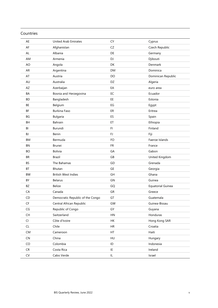## Countries

| AE                                       | <b>United Arab Emirates</b>      | CY               | Cyprus             |
|------------------------------------------|----------------------------------|------------------|--------------------|
| AF                                       | Afghanistan                      | CZ               | Czech Republic     |
| AL                                       | Albania                          | DE               | Germany            |
| AM                                       | Armenia                          | DJ               | Djibouti           |
| AO                                       | Angola                           | DK               | Denmark            |
| AR                                       | Argentina                        | <b>DM</b>        | Dominica           |
| AT                                       | Austria                          | DO               | Dominican Republic |
| AU                                       | Australia                        | DZ               | Algeria            |
| AZ                                       | Azerbaijan                       | EA               | euro area          |
| BA                                       | Bosnia and Herzegovina           | EC               | Ecuador            |
| <b>BD</b>                                | Bangladesh                       | EE               | Estonia            |
| BE                                       | Belgium                          | EG               | Egypt              |
| BF                                       | <b>Burkina Faso</b>              | ER               | Eritrea            |
| BG                                       | Bulgaria                         | ES               | Spain              |
| BH                                       | Bahrain                          | ET               | Ethiopia           |
| BI                                       | Burundi                          | FI.              | Finland            |
| BJ                                       | Benin                            | FJ               | Fiji               |
| BM                                       | Bermuda                          | FO               | Faeroe Islands     |
| <b>BN</b>                                | <b>Brunei</b>                    | <b>FR</b>        | France             |
| <b>BO</b>                                | <b>Bolivia</b>                   | GA               | Gabon              |
| <b>BR</b>                                | Brazil                           | GB               | United Kingdom     |
| <b>BS</b>                                | The Bahamas                      | GD               | Grenada            |
| BT                                       | Bhutan                           | GE               | Georgia            |
| <b>BW</b>                                | <b>British West Indies</b>       | GH               | Ghana              |
| BY                                       | <b>Belarus</b>                   | GN               | Guinea             |
| BZ                                       | <b>Belize</b>                    | GQ               | Equatorial Guinea  |
| CA                                       | Canada                           | GR               | Greece             |
| CD                                       | Democratic Republic of the Congo | GT               | Guatemala          |
| $\mathsf{C}\mathsf{F}$                   | Central African Republic         | GW               | Guinea-Bissau      |
| $\mathsf{CG}\xspace$                     | Republic of Congo                | GY               | Guyana             |
| $\mathsf{CH}% \left( \mathcal{M}\right)$ | Switzerland                      | ${\sf H}{\sf N}$ | Honduras           |
| CI                                       | Côte d'Ivoire                    | HK               | Hong Kong SAR      |
| CL                                       | Chile                            | HR               | Croatia            |
| <b>CM</b>                                | Cameroon                         | HT               | Haiti              |
| ${\sf CN}$                               | China                            | HU               | Hungary            |
| ${\sf CO}$                               | Colombia                         | ID               | Indonesia          |
| CR                                       | Costa Rica                       | IE               | Ireland            |
| ${\sf CV}$                               | Cabo Verde                       | IL               | Israel             |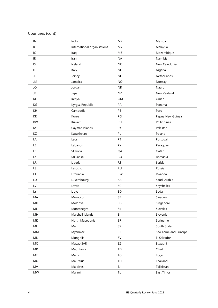# Countries (cont)

| IN            | India                       | MX        | Mexico                |  |
|---------------|-----------------------------|-----------|-----------------------|--|
| IO            | International organisations | MY        | Malaysia              |  |
| IQ            | Iraq                        | MZ        | Mozambique            |  |
| IR            | Iran                        | <b>NA</b> | Namibia               |  |
| IS            | Iceland                     | <b>NC</b> | New Caledonia         |  |
| IT            | Italy                       | <b>NG</b> | Nigeria               |  |
| JE            | Jersey                      | <b>NL</b> | Netherlands           |  |
| JM            | Jamaica                     | <b>NO</b> | Norway                |  |
| JO            | Jordan                      | <b>NR</b> | Nauru                 |  |
| JP            | Japan                       | NZ        | New Zealand           |  |
| KE            | Kenya                       | OM        | Oman                  |  |
| KG            | Kyrgyz Republic             | PA        | Panama                |  |
| KH            | Cambodia                    | PE        | Peru                  |  |
| KR            | Korea                       | PG        | Papua New Guinea      |  |
| KW            | Kuwait                      | PH        | Philippines           |  |
| KY            | Cayman Islands              | PK        | Pakistan              |  |
| ΚZ            | Kazakhstan                  | PL        | Poland                |  |
| LA            | Laos                        | PT        | Portugal              |  |
| LB            | Lebanon                     | PY        | Paraguay              |  |
| LC            | St Lucia                    | QA        | Qatar                 |  |
| <b>LK</b>     | Sri Lanka                   | <b>RO</b> | Romania               |  |
| LR            | Liberia                     | <b>RS</b> | Serbia                |  |
| LS            | Lesotho                     | <b>RU</b> | Russia                |  |
| LT.           | Lithuania                   | <b>RW</b> | Rwanda                |  |
| LU            | Luxembourg                  | SA        | Saudi Arabia          |  |
| LV            | Latvia                      | SC        | Seychelles            |  |
| LY            | Libya                       | SD        | Sudan                 |  |
| MA            | Morocco                     | SE        | Sweden                |  |
| MD            | Moldova                     | SG        | Singapore             |  |
| ME            | Montenegro                  | SK        | Slovakia              |  |
| MН            | Marshall Islands            | SI        | Slovenia              |  |
| МK            | North Macedonia             | SR        | Suriname              |  |
| $\mathsf{ML}$ | Mali                        | SS        | South Sudan           |  |
| MM            | Myanmar                     | ST        | São Tomé and Príncipe |  |
| MN            | Mongolia                    | <b>SV</b> | El Salvador           |  |
| MO            | Macao SAR                   | SZ        | Eswatini              |  |
| MR            | Mauritania                  | TD        | Chad                  |  |
| MT            | Malta                       | TG        | Togo                  |  |
| MU            | Mauritius                   | TH        | Thailand              |  |
| MV            | Maldives                    | TJ        | Tajikistan            |  |
| MW            | Malawi                      | TL        | East Timor            |  |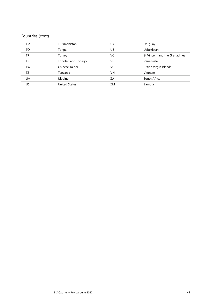# Countries (cont)

| TM        | Turkmenistan         | UY | Uruguay                       |
|-----------|----------------------|----|-------------------------------|
| TO        | Tonga                | UZ | Uzbekistan                    |
| TR        | Turkey               | VC | St Vincent and the Grenadines |
| TТ        | Trinidad and Tobago  | VE | Venezuela                     |
| TW        | Chinese Taipei       | VG | British Virgin Islands        |
| TZ        | Tanzania             | VN | Vietnam                       |
| <b>UA</b> | Ukraine              | ZA | South Africa                  |
| US        | <b>United States</b> | ZM | Zambia                        |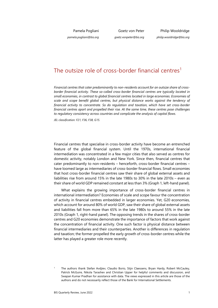Pamela Pogliani

Goetz von Peter

Philip Wooldridge *philip.wooldridge@bis.org*

*pamela.pogliani@bis.org*

*goetz.vonpeter@bis.org*

# The outsize role of cross-border financial centres<sup>[1](#page-8-0)</sup>

*Financial centres that cater predominantly to non-residents account for an outsize share of crossborder financial activity. These so-called cross-border financial centres are typically located in small economies, in contrast to global financial centres located in large economies. Economies of scale and scope benefit global centres, but physical distance works against the tendency of financial activity to concentrate. So do regulation and taxation, which have set cross-border financial centres apart and propelled their rise. At the same time, these centres pose challenges to regulatory consistency across countries and complicate the analysis of capital flows.* 

*JEL classification: F21, F36, F38, G15.* 

Financial centres that specialise in cross-border activity have become an entrenched feature of the global financial system. Until the 1970s, international financial intermediation was concentrated in a few major cities that also served as centres for domestic activity, notably London and New York. Since then, financial centres that cater predominantly to non-residents – henceforth, cross-border financial centres – have loomed large as intermediaries of cross-border financial flows. Small economies that host cross-border financial centres saw their share of global external assets and liabilities rise from around 15% in the late 1980s to 30% in the late 2010s – even as their share of world GDP remained constant at less than 3% (Graph 1, left-hand panel).

What explains the growing importance of cross-border financial centres in international intermediation? Economies of scale and scope favour the concentration of activity in financial centres embedded in larger economies. Yet, G20 economies, which account for around 80% of world GDP, saw their share of global external assets and liabilities fall from more than 65% in the late 1980s to around 55% in the late 2010s (Graph 1, right-hand panel). The opposing trends in the shares of cross-border centres and G20 economies demonstrate the importance of factors that work against the concentration of financial activity. One such factor is physical distance between financial intermediaries and their counterparties. Another is differences in regulation and taxation; the former propelled the early growth of cross-border centres while the latter has played a greater role more recently.

<span id="page-8-0"></span><sup>1</sup> The authors thank Stefan Avdjiev, Claudio Borio, Stijn Claessens, Bryan Hardy, Robert McCauley, Patrick McGuire, Nikola Tarashev and Christian Upper for helpful comments and discussion, and Swapan Kumar Pradhan for assistance with data. The views expressed in this article are those of the authors and do not necessarily reflect those of the Bank for International Settlements.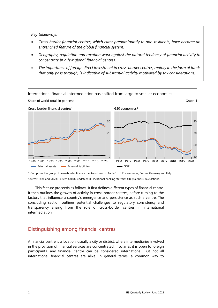#### *Key takeaways*

- *Cross-border financial centres, which cater predominantly to non-residents, have become an entrenched feature of the global financial system.*
- *Geography, regulation and taxation work against the natural tendency of financial activity to concentrate in a few global financial centres.*
- *The importance of foreign direct investment in cross-border centres, mainly in the form of funds that only pass through, is indicative of substantial activity motivated by tax considerations.*



International financial intermediation has shifted from large to smaller economies

<sup>1</sup> Comprises the group of cross-border financial centres shown in Table 1. <sup>2</sup> For euro area, France, Germany and Italy. Sources: Lane and Milesi-Ferretti (2018), updated; BIS locational banking statistics (LBS); authors' calculations.

This feature proceeds as follows. It first defines different types of financial centre. It then outlines the growth of activity in cross-border centres, before turning to the factors that influence a country's emergence and persistence as such a centre. The concluding section outlines potential challenges to regulatory consistency and transparency arising from the role of cross-border centres in international intermediation.

# Distinguishing among financial centres

A financial centre is a location, usually a city or district, where intermediaries involved in the provision of financial services are concentrated. Insofar as it is open to foreign participants, any financial centre can be considered international. But not all international financial centres are alike. In general terms, a common way to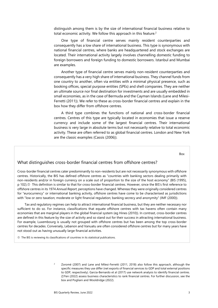distinguish among them is by the size of international financial business relative to total economic activity. We follow this approach in this feature.<sup>[2](#page-10-0)</sup>

One type of financial centre serves mainly resident counterparties and consequently has a low share of international business. This type is synonymous with national financial centres, where banks are headquartered and stock exchanges are located. Their international activity largely involves channelling domestic funding to foreign borrowers and foreign funding to domestic borrowers. Istanbul and Mumbai are examples.

Another type of financial centre serves mainly non-resident counterparties and consequently has a very high share of international business. They channel funds from one country to another, often via entities with a minimal physical presence, such as booking offices, special purpose entities (SPEs) and shell companies. They are neither an ultimate source nor final destination for investments and are usually embedded in small economies, as in the case of Bermuda and the Cayman Islands (Lane and Milesi-Ferretti (2011)). We refer to these as cross-border financial centres and explain in the box how they differ from offshore centres.

A third type combines the functions of national and cross-border financial centres. Centres of this type are typically located in economies that issue a reserve currency and include some of the largest financial centres. Their international business is very large in absolute terms but not necessarily relative to total economic activity. These are often referred to as global financial centres. London and New York are the classic examples (Cassis (2006)).

Box

#### What distinguishes cross-border financial centres from offshore centres?

Cross-border financial centres cater predominantly to non-residents but are not necessarily synonymous with offshore centres. Historically, the BIS has defined offshore centres as "countries with banking sectors dealing primarily with non-residents and/or in foreign currency on a scale out of proportion to the size of the host economy" (BIS (1995), p 102). This definition is similar to that for cross-border financial centres. However, since the BIS's first reference to offshore centres in its 1974 *Annual Report*, perceptions have changed. Whereas they were originally considered centres for "eurocurrency" or international banking activity, offshore centres have come to be characterised as jurisdictions with "low or zero taxation; moderate or light financial regulation; banking secrecy and anonymity" (IMF (2000)).

Tax and regulatory regimes can help to attract international financial business, but they are neither necessary nor sufficient to do so. For instance, classifications that equate offshore centres with tax havens often contain many economies that are marginal players in the global financial system (eg Hines (2010)). In contrast, cross-border centres are defined in this feature by the size of activity and so stand out for their success in attracting international business. For example, Luxembourg is usually not grouped with offshore centres but has been among the top cross-border centres for decades. Conversely, Lebanon and Vanuatu are often considered offshore centres but for many years have not stood out as having unusually large financial activities.

<span id="page-10-0"></span>The BIS is reviewing its classifications of countries in its statistical publications.

<sup>2</sup> Zoromé (2007) and Lane and Milesi-Ferretti (2011, 2018) also follow this approach, although the specific measures they use differ (net exports of financial services to GDP and total external positions to GDP, respectively). Garcia-Bernardo et al (2017) use network analysis to identify financial centres. Z/Yen (2022) assess business characteristics to rank financial centres. For further discussion, see the box and Pogliani and Wooldridge (2022).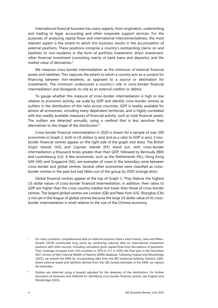International financial business has many aspects, from origination, underwriting and trading to legal, accounting and other corporate support services. For the purposes of analysing capital flows and international interconnectedness, the most relevant aspect is the extent to which this business results in the accumulation of external positions. These positions comprise a country's outstanding claims on and liabilities to non-residents in the form of portfolio investment, direct investment, other financial investment (consisting mainly of bank loans and deposits), and the market value of derivatives.[3](#page-11-1)

We measure cross-border intermediation as the minimum of external financial assets and liabilities. This captures the extent to which a country acts as a conduit for financing between non-residents, as opposed to a source or destination for investments. The minimum underscores a country's role in cross-border financial intermediation and disregards its role as an external creditor or debtor.

To gauge whether this measure of cross-border intermediation is high or low relative to economic activity, we scale by GDP and identify cross-border centres as outliers in the distribution of this ratio across countries. GDP is readily available for almost all economies, including many dependent territories, and is highly correlated with less readily available measures of financial activity, such as total financial assets. The outliers are detected annually, using a method that is less sensitive than alternatives to the shape of the distribution.[4](#page-11-0)

Cross-border financial intermediation in 2020 is shown for a sample of over 200 economies in Graph 2, both in US dollars (y axis) and as a ratio to GDP (x axis). Crossborder financial centres appear on the right side of the graph (red dots). The British Virgin Islands (VG) and Cayman Islands (KY) stand out, with cross-border intermediation a thousand times greater than their GDP, followed by Bermuda (BM) and Luxembourg (LU). A few economies, such as the Netherlands (NL), Hong Kong SAR (HK) and Singapore (SG), are examples of cases in the boundary zone between cross-border and global centres. Several other economies were classified as crossborder centres in the past but had fallen out of the group by 2020 (orange dots).

Global financial centres appear at the top of Graph 2. They feature the highest US dollar values of cross-border financial intermediation; in addition, their ratios to GDP are higher than the cross-country median but lower than those of cross-border centres. The largest global centres are London (GB) and New York (US). Shanghai (CN) is not yet in the league of global centres because the large US dollar value of its crossborder intermediation is small relative to the size of the Chinese economy.

<span id="page-11-1"></span><sup>3</sup> For many countries, comprehensive data on external positions have a short history. Lane and Milesi-Ferretti (2018) constructed long series by combining national data on international investment positions with other sources, including cumulative gross capital flows from the balance of payments. Their coverage increases from 103 countries in 1970 to 211 in 2020, the final year in the December 2021 version of their External Wealth of Nations (EWN) database. Following Pogliani and Wooldridge (2022), we extend the EWN by incorporating data from the BIS locational banking statistics (LBS); where external assets and liabilities derived from the LBS exceed estimates in the EWN, we replace the estimates.

<span id="page-11-0"></span><sup>4</sup> Outliers are detected using a boxplot adjusted for the skewness of the distribution. For further discussion of measures and methods for identifying cross-border financial centres, see Pogliani and Wooldridge (2022).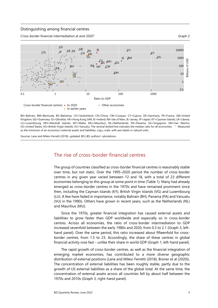#### Distinguishing among financial centres





BH=Bahrain; BM=Bermuda; BS=Bahamas; CH=Switzerland; CN=China; CW=Curaçao; CY=Cyprus; DE=Germany; FR=France; GB=United Kingdom; GG=Guernsey; GI=Gibraltar; HK=Hong Kong SAR; IE=Ireland; IM=Isle of Man; JE=Jersey; JP=Japan; KY=Cayman Islands; LR=Liberia; LU=Luxembourg; MH=Marshall Islands; MT=Malta; MU=Mauritius; NL=Netherlands; PA=Panama; SG=Singapore; SM=San Marino; US=United States; VG=British Virgin Islands; VU=Vanuatu. The vertical dotted line indicates the median ratio for all economies. <sup>1</sup> Measured as the minimum of an economy's external assets and liabilities. Log10 scale, with axis labels in natural units.

Sources: Lane and Milesi-Ferretti (2018), updated; BIS LBS; authors' calculations.

# The rise of cross-border financial centres

The group of countries classified as cross-border financial centres is reasonably stable over time, but not static. Over the 1995–2020 period the number of cross-border centres in any given year varied between 12 and 18, with a total of 23 different economies belonging to this group at some point in time (Table 1). Many had already emerged as cross-border centres in the 1970s and have remained prominent since then, including the Cayman Islands (KY), British Virgin Islands (VG) and Luxembourg (LU). A few have faded in importance, notably Bahrain (BH), Panama (PA) and Vanuatu (VU) in the 1990s. Others have grown in recent years, such as the Netherlands (NL) and Mauritius (MU).

Since the 1970s, greater financial integration has caused external assets and liabilities to grow faster than GDP worldwide and especially so in cross-border centres. Across all economies, the ratio of cross-border intermediation to GDP increased sevenfold between the early 1980s and 2020, from 0.3 to 2.1 (Graph 3, lefthand panel). Over the same period, this ratio increased about fifteenfold for crossborder centres, from 1.5 to 23. Accordingly, the share of these centres in global financial activity rose fast – unlike their share in world GDP (Graph 1, left-hand panel).

The rapid growth of cross-border centres, as well as the financial integration of emerging market economies, has contributed to a more diverse geographic distribution of external positions (Lane and Milesi-Ferretti (2018), Broner et al (2020)). The concentration of external liabilities has been roughly stable, partly due to the growth of US external liabilities as a share of the global total. At the same time, the concentration of external assets across all countries fell by about half between the 1970s and 2010s (Graph 3, right-hand panel).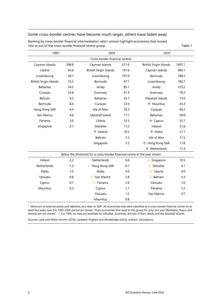#### Some cross-border centres have become much larger, others have faded away

| 1995 <sup>2</sup>              |       | 2005                                                                      |       | 2020                          |        |  |
|--------------------------------|-------|---------------------------------------------------------------------------|-------|-------------------------------|--------|--|
| Cross-border financial centres |       |                                                                           |       |                               |        |  |
| Cayman Islands                 | 398.8 | Cayman Islands                                                            | 671.6 | <b>British Virgin Islands</b> | 1497.1 |  |
| Liberia                        | 85.6  | British Virgin Islands                                                    | 191.6 | Cayman Islands                | 980.1  |  |
| Luxembourg                     | 38.1  | Luxembourg                                                                | 101.0 | Bermuda                       | 188.2  |  |
| British Virgin Islands         | 35.5  | Bermuda                                                                   | 97.1  | Luxembourg                    | 182.7  |  |
| <b>Bahamas</b>                 | 34.5  | Jersey                                                                    | 85.1  | Jersey                        | 123.2  |  |
| Curaçao                        | 24.8  | Guernsey                                                                  | 61.9  | Guernsey                      | 78.2   |  |
| Bahrain                        | 9.2   | <b>Bahamas</b>                                                            | 35.7  | Marshall Islands              | 73.0   |  |
| Bermuda                        | 8.4   | Curaçao                                                                   | 32.6  | ↑ Mauritius                   | 43.4   |  |
| Hong Kong SAR                  | 6.4   | Isle of Man                                                               | 18.5  | Curaçao                       | 40.2   |  |
| San Marino                     | 4.6   | Marshall Island                                                           | 17.1  | <b>Bahamas</b>                | 29.8   |  |
| Panama                         | 3.9   | Liberia                                                                   | 15.3  | ↑ Cyprus                      | 25.7   |  |
| Singapore                      | 2.7   | Gibraltar                                                                 | 11.2  | Ireland                       | 21.6   |  |
|                                |       | ↑ Ireland                                                                 | 10.5  | ↑ Malta                       | 21.1   |  |
|                                |       | Bahrain                                                                   | 7.3   | Isle of Man                   | 17.5   |  |
|                                |       | Singapore                                                                 | 7.2   | ↑ Hong Kong SAR               | 11.8   |  |
|                                |       |                                                                           |       | ↑ Netherlands                 | 11.3   |  |
|                                |       | Below the threshold for a cross-border financial centre in the year shown |       |                               |        |  |
| Ireland                        | 2.2   | <b>Netherlands</b>                                                        | 6.6   | Singapore                     | 10.5   |  |
| Netherlands                    | 1.3   | $\sqrt{\phantom{a}}$ Hong Kong SAR                                        | 6.1   | $\downarrow$ Gibraltar        | 4.1    |  |
| Malta                          | 1.0   | Malta                                                                     | 4.0   | $\downarrow$ Liberia          | 4.0    |  |
| Vanuatu                        | 0.8   | San Marino                                                                | 2.8   | $\downarrow$ Bahrain          | 3.3    |  |
| Cyprus                         | 0.7   | Panama                                                                    | 2.6   | Vanuatu                       | 1.6    |  |
| Mauritius                      | 0.3   | Cyprus                                                                    | 1.7   | Panama                        | 1.2    |  |
|                                |       | Vanuatu                                                                   | 1.5   | San Marino                    | 0.7    |  |
|                                |       | <b>Mauritius</b>                                                          | 0.8   |                               |        |  |

Ranking by cross-border financial intermediation ratio<sup>1</sup>; arrows highlight economies that moved into or out of the cross-border financial centre group Table 1

 $<sup>1</sup>$  Minimum of external assets and liabilities, as a ratio to GDP. All economies that were classified as a cross-border financial centre for at</sup> least two years over the 1995–2020 period are shown. Three economies that were in this group for only one year (Barbados, Nauru and Samoa) are not shown. <sup>2</sup> For 1995, no data are available for Gibraltar, Guernsey, the Isle of Man, Jersey and the Marshall Islands.

Sources: Lane and Milesi-Ferretti (2018), updated; Pogliani and Wooldridge (2022); authors' calculations.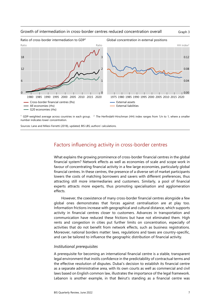

#### Growth of intermediation in cross-border centres reduced concentration overall Graph 3



<sup>1</sup> GDP-weighted average across countries in each group. <sup>2</sup> The Herfindahl-Hirschman (HH) index ranges from 1/n to 1, where a smaller number indicates lower concentration.

Sources: Lane and Milesi-Ferretti (2018), updated; BIS LBS; authors' calculations.

# Factors influencing activity in cross-border centres

What explains the growing prominence of cross-border financial centres in the global financial system? Network effects as well as economies of scale and scope work in favour of concentrating financial activity in a few large economies, particularly global financial centres. In these centres, the presence of a diverse set of market participants lowers the costs of matching borrowers and savers with different preferences, thus attracting still more intermediaries and customers. Similarly, a pool of financial experts attracts more experts, thus promoting specialisation and agglomeration effects.

However, the coexistence of many cross-border financial centres alongside a few global ones demonstrates that forces against centralisation are at play too. Information frictions increase with geographical and cultural distance, which supports activity in financial centres closer to customers. Advances in transportation and communication have reduced these frictions but have not eliminated them. High rents and congestion in cities put further limits on concentration, especially of activities that do not benefit from network effects, such as business registrations. Moreover, national borders matter: laws, regulations and taxes are country-specific, and can be tailored to influence the geographic distribution of financial activity.

#### *Institutional prerequisites*

A prerequisite for becoming an international financial centre is a stable, transparent legal environment that instils confidence in the predictability of contractual terms and the effective resolution of disputes. Dubai's decision to establish its financial centre as a separate administrative area, with its own courts as well as commercial and civil laws based on English common law, illustrates the importance of the legal framework. Lebanon is another example, in that Beirut's standing as a financial centre was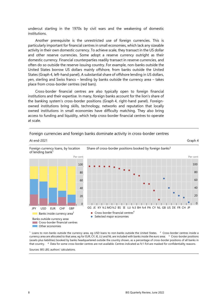undercut starting in the 1970s by civil wars and the weakening of domestic institutions.

Another prerequisite is the unrestricted use of foreign currencies. This is particularly important for financial centres in small economies, which lack any sizeable activity in their own domestic currency. To achieve scale, they transact in the US dollar and other reserve currencies. Some adopt a reserve currency outright as their domestic currency. Financial counterparties readily transact in reserve currencies, and often do so outside the reserve-issuing country. For example, non-banks outside the United States borrow US dollars mainly offshore, from banks outside the United States (Graph 4, left-hand panel). A substantial share of offshore lending in US dollars, yen, sterling and Swiss francs – lending by banks outside the currency area – takes place from cross-border centres (red bars).

Cross-border financial centres are also typically open to foreign financial institutions and their expertise. In many, foreign banks account for the lion's share of the banking system's cross-border positions (Graph 4, right-hand panel). Foreignowned institutions bring skills, technology, networks and reputation that locally owned institutions in small economies have difficulty matching. They also bring access to funding and liquidity, which help cross-border financial centres to operate at scale.



Foreign currencies and foreign banks dominate activity in cross-border centres

At end-2021 Graph 4

 $1$  Loans to non-banks outside the currency area, eg USD loans to non-banks outside the United States.  $2$  Cross-border centres inside a currency area are allocated to that area, eg for EUR, CY, IE, LU and NL are included with banks inside the euro area. 3 Cross-border positions (assets plus liabilities) booked by banks headquartered outside the country shown, as a percentage of cross-border positions of all banks in that country. 4 Data for some cross-border centres are not available. Centres indicated as fc1-fc4 are masked for confidentiality reasons.

Sources: BIS LBS; authors' calculations.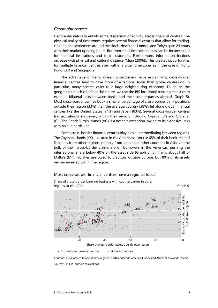#### *Geographic aspects*

Geography naturally entails some dispersion of activity across financial centres. The physical reality of time zones requires several financial centres that allow for trading, clearing and settlement around the clock. New York, London and Tokyo span 24 hours with their market opening hours. But even small time differences can be inconvenient for financial institutions and their customers. Furthermore, information frictions increase with physical and cultural distance (Mian (2006)). This creates opportunities for multiple financial centres even within a given time zone, as in the case of Hong Kong SAR and Singapore.

The advantage of being closer to customers helps explain why cross-border financial centres tend to have more of a regional focus than global centres do. In particular, many centres cater to a large neighbouring economy. To gauge the geographic reach of a financial centre, we use the BIS locational banking statistics to examine bilateral links between banks and their counterparties abroad (Graph 5). Most cross-border centres book a smaller percentage of cross-border bank positions outside their region (33%) than the average country (38%), let alone global financial centres like the United States (74%) and Japan (83%). Several cross-border centres transact almost exclusively within their region, including Cyprus (CY) and Gibraltar (GI). The British Virgin Islands (VG) is a notable exception, owing to its extensive links with Asia in particular.

Some cross-border financial centres play a role intermediating between regions. The Cayman Islands (KY) – located in the Americas – source 65% of their bank-related liabilities from other regions, notably from Japan and other countries in Asia; yet the bulk of their cross-border claims are on borrowers in the Americas, pushing the interregional share below 40% on the asset side (Graph 5). Similarly, about half of Malta's (MT) liabilities are owed to creditors outside Europe, but 80% of its assets remain invested within the region.

#### Most cross-border financial centres have a regional focus



Share of cross-border banking business with counterparties in other

• Cross-border financial centres • Other economies

Countries are allocated to one of three regions: North and South America; Europe and Africa; or Asia and Oceania. Sources: BIS LBS; authors calculations.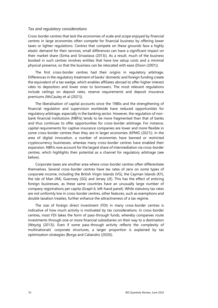#### *Tax and regulatory considerations*

Cross-border centres that lack the economies of scale and scope enjoyed by financial centres in large economies often compete for financial business by offering lower taxes or lighter regulations. Centres that compete on these grounds face a highly elastic demand for their services; small differences can have a significant impact on their market share (Sinha and Srivastava (2013)). As a result, much of the business booked in such centres involves entities that have low setup costs and a minimal physical presence, so that the business can be relocated with ease (Dixon (2001)).

The first cross-border centres had their origins in regulatory arbitrage. Differences in the regulatory treatment of banks' domestic and foreign funding create the equivalent of a tax wedge, which enables affiliates abroad to offer higher interest rates to depositors and lower ones to borrowers. The most relevant regulations include ceilings on deposit rates, reserve requirements and deposit insurance premiums (McCauley et al (2021)).

The liberalisation of capital accounts since the 1980s and the strengthening of financial regulation and supervision worldwide have reduced opportunities for regulatory arbitrage, especially in the banking sector. However, the regulation of nonbank financial institutions (NBFIs) tends to be more fragmented than that of banks and thus continues to offer opportunities for cross-border arbitrage. For instance, capital requirements for captive insurance companies are lower and more flexible in some cross-border centres than they are in larger economies (KPMG (2021)). In the area of digital innovation, a number of economies have banned or restricted cryptocurrency businesses, whereas many cross-border centres have enabled their expansion. NBFIs now account for the largest share of intermediation via cross-border centres, which highlights their potential as a channel for regulatory arbitrage (see below).

Corporate taxes are another area where cross-border centres often differentiate themselves. Several cross-border centres have tax rates of zero on some types of corporate income, including the British Virgin Islands (VG), the Cayman Islands (KY), the Isle of Man (IM), Guernsey (GG) and Jersey (JE). This has the effect of enticing foreign businesses, as these same countries have an unusually large number of company registrations per capita (Graph 6, left-hand panel). While statutory tax rates are not uniformly low in cross-border centres, other features, such as exemptions and double taxation treaties, further enhance the attractiveness of a tax regime.

The size of foreign direct investment (FDI) in many cross-border centres is indicative of how much activity is motivated by tax considerations. In cross-border centres, most FDI takes the form of pass-through funds, whereby companies route investments through one or more financial subsidiaries on their way to a destination (Weyzig (2013)). Even if some pass-through activity reflects the complexity of multinationals' corporate structures, a larger proportion is explained by tax optimisation strategies (Borga and Caliandro (2020)).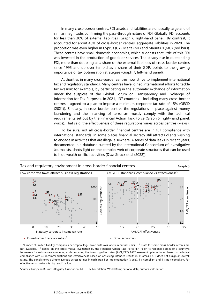In many cross-border centres, FDI assets and liabilities are unusually large and of similar magnitude, confirming the pass-through nature of FDI. Globally, FDI accounts for less than 30% of external liabilities (Graph 7, right-hand panel). By contrast, it accounted for about 40% of cross-border centres' aggregate liabilities in 2020. The proportion was even higher in Cyprus (CY), Malta (MT) and Mauritius (MU) (red bars). These centres have small domestic economies, which suggests that little of this FDI was invested in the production of goods or services. The steady rise in outstanding FDI, more than doubling as a share of the external liabilities of cross-border centres since 1995 and up over tenfold as a share of their GDP, points to the growing importance of tax optimisation strategies (Graph 7, left-hand panel).

Authorities in many cross-border centres now strive to implement international tax and regulatory standards. Many centres have joined international efforts to tackle tax evasion: for example, by participating in the automatic exchange of information under the auspices of the Global Forum on Transparency and Exchange of Information for Tax Purposes. In 2021, 137 countries – including many cross-border centres – agreed to a plan to impose a minimum corporate tax rate of 15% (OECD (2021)). Similarly, in cross-border centres the regulations in place against money laundering and the financing of terrorism mostly comply with the technical requirements set out by the Financial Action Task Force (Graph 6, right-hand panel, y-axis). That said, the effectiveness of these regulations varies across centres (x-axis).

To be sure, not all cross-border financial centres are in full compliance with international standards. In some places financial secrecy still attracts clients wishing to engage in activities that are illegal elsewhere. A series of data leaks in recent years, documented in a database curated by the International Consortium of Investigative Journalists, sheds light on the complex web of corporate structures that can be used to hide wealth or illicit activities (Díaz-Struck et al (2022)).



<sup>1</sup> Number of limited liability companies per capita, log<sub>10</sub> scale, with axis labels in natural units.. <sup>2</sup> Data for some cross-border centres are not available. <sup>3</sup> Based on the latest mutual evaluation by the Financial Action Task Force (FATF) or its regional bodies of a country's framework for anti-money laundering and combating the financing of terrorism (AML/CFT). FATF assesses implementation based on technical compliance with 40 recommendations and effectiveness based on achieving intended results in 11 areas. FATF does not assign an overall rating. The panel shows a simple average across ratings in each area. For implementation (y axis), 4 is compliant and 1 is non-compliant. For effectiveness (x axis), 4 is high and 1 is low.

Sources: European Business Registry Association; FATF; Tax Foundation; World Bank; national data; authors' calculations.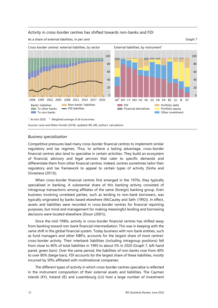#### Activity in cross-border centres has shifted towards non-banks and FDI

As a share of external liabilities, in per cent Graph 7 and Graph 7 and Graph 7 and Graph 7 and Graph 7 and Graph 7



#### *Business specialisation*

Competitive pressures lead many cross-border financial centres to implement similar regulatory and tax regimes. Thus, to achieve a lasting advantage, cross-border financial centres also tend to specialise in certain activities. They build an ecosystem of financial, advisory and legal services that cater to specific demands and differentiate them from other financial centres. Indeed, centres sometimes tailor their regulatory and tax framework to appeal to certain types of activity (Sinha and Srivastava (2013)).

When cross-border financial centres first emerged in the 1970s, they typically specialised in banking. A substantial share of this banking activity consisted of intragroup transactions among affiliates of the same (foreign) banking group. Even business involving unrelated parties, such as lending to non-bank borrowers, was typically originated by banks based elsewhere (McCauley and Seth (1992)). In effect, assets and liabilities were recorded in cross-border centres for financial reporting purposes, but mind and management for making meaningful lending and borrowing decisions were located elsewhere (Dixon (2001)).

Since the mid-1990s, activity in cross-border financial centres has shifted away from banking toward non-bank financial intermediation. This was in keeping with the same shift in the global financial system. Today business with non-bank entities, such as fund managers and other NBFIs, accounts for the largest share of most centres' cross-border activity. Their interbank liabilities (including intragroup positions) fell from close to 40% of total liabilities in 1995 to about 5% in 2020 (Graph 7, left-hand panel, green bars). Over the same period, the liabilities of non-banks rose from 40% to over 80% (beige bars). FDI accounts for the largest share of these liabilities, mostly incurred by SPEs affiliated with multinational companies.

The different types of activity in which cross-border centres specialise is reflected in the instrument composition of their external assets and liabilities. The Cayman Islands (KY), Ireland (IE) and Luxembourg (LU) host a large number of investment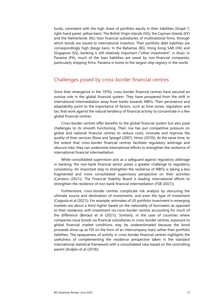funds, consistent with the high share of portfolio equity in their liabilities (Graph 7, right-hand panel, yellow bars). The British Virgin Islands (VG), the Cayman Islands (KY) and the Netherlands (NL) host financial subsidiaries of multinational firms, through which bonds are issued to international investors. Their portfolio debt liabilities are correspondingly high (beige bars). In the Bahamas (BS), Hong Kong SAR (HK) and Singapore (SG), banking is still relatively important ("other investment", in blue). In Panama (PA), much of the loan liabilities are owed by non-financial companies, particularly shipping firms. Panama is home to the largest ship registry in the world.

# Challenges posed by cross-border financial centres

Since their emergence in the 1970s, cross-border financial centres have secured an outsize role in the global financial system. They have prospered from the shift in international intermediation away from banks towards NBFIs. Their persistence and adaptability point to the importance of factors, such as time zones, regulation and tax, that work against the natural tendency of financial activity to concentrate in a few global financial centres.

Cross-border centres offer benefits to the global financial system but also pose challenges to its smooth functioning. Their rise has put competitive pressure on global and national financial centres to reduce costs, innovate and improve the quality of their services (Rose and Spiegel (2007), Hines (2010)). At the same time, to the extent that cross-border financial centres facilitate regulatory arbitrage and obscure risks, they can undermine international efforts to strengthen the resilience of international financial intermediation.

While consolidated supervision acts as a safeguard against regulatory arbitrage in banking, the non-bank financial sector poses a greater challenge to regulatory consistency. An important step to strengthen the resilience of NBFIs is taking a less fragmented and more consolidated supervisory perspective on their activities (Carstens (2021)). The Financial Stability Board is leading international efforts to strengthen the resilience of non-bank financial intermediation (FSB (2021)).

Furthermore, cross-border centres complicate risk analysis by obscuring the ultimate source and destination of investments, and even the type of investment (Coppola et al (2021)). For example, estimates of US portfolio investment in emerging markets are about a third higher based on the nationality of borrowers as opposed to their residence, with investment via cross-border centres accounting for much of the difference (Bertaut et al (2021)). Similarly, in the case of countries where companies issue bonds via financial subsidiaries in cross-border centres, exposure to global financial market conditions may be underestimated because the bond proceeds show up as FDI (in the form of an intercompany loan) rather than portfolio liabilities. The opaqueness of activity in cross-border financial centres highlights the usefulness of complementing the residence perspective taken in the standard international statistical framework with a consolidated view based on the controlling parent (Avdjiev et al (2018)).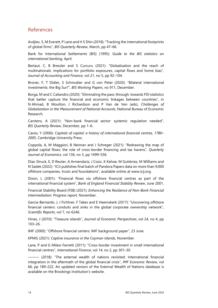# References

Avdjiev, S, M Everett, P Lane and H S Shin (2018): "Tracking the international footprints of global firms", *BIS Quarterly Review*, March, pp 47–66.

Bank for International Settlements (BIS) (1995): *Guide to the BIS statistics on international banking*, April.

Bertaut, C, B Bressler and S Curcuru (2021): "Globalisation and the reach of multinationals: implications for portfolio exposures, capital flows and home bias", *Journal of Accounting and Finance*, vol 21, no 5, pp 92–104.

Broner, F, T Didier, S Schmukler and G von Peter (2020): "Bilateral international investments: the Big Sur?", *BIS Working Papers*, no 911, December.

Borga, M and C Caliandro (2020): "Eliminating the pass-through: towards FDI statistics that better capture the financial and economic linkages between countries", in N Ahmad, B Moulton, J Richardson and P Van de Ven (eds), *Challenges of Globalization in the Measurement of National Accounts*, National Bureau of Economic Research.

Carstens, A (2021): "Non-bank financial sector: systemic regulation needed", *BIS Quarterly Review*, December, pp 1–6.

Cassis, Y (2006): *Capitals of capital: a history of international financial centres, 1780– 2005*, Cambridge University Press.

Coppola, A, M Maggiori, B Neiman and J Schreger (2021): "Redrawing the map of global capital flows: the role of cross-border financing and tax havens", *Quarterly Journal of Economics*, vol 136, no 3, pp 1499–556.

Díaz-Struck, E, D Reuter, A Armendariz, J Cosic, K Kehoe, M Gutiérrez, M Williams and N Sadek (2022): "ICIJ publishes final batch of Pandora Papers data on more than 9,000 offshore companies, trusts and foundations", available online at www.icij.org.

Dixon, L (2001): "Financial flows via offshore financial centres as part of the international financial system", *Bank of England Financial Stability Review*, June 2001.

Financial Stability Board (FSB) (2021): *Enhancing the Resilience of Non-Bank Financial Intermediation: Progress report*, November.

Garcia-Bernardo, J, J Fichtner, F Takes and E Heemskerk (2017): "Uncovering offshore financial centers: conduits and sinks in the global corporate ownership network", *Scientific Reports*, vol 7, no 6246.

Hines, J (2010): "Treasure islands", *Journal of Economic Perspectives*, vol 24, no 4, pp 103–26.

IMF (2000): "Offshore financial centers: IMF background paper", 23 June.

KPMG (2021): *Captive insurance in the Cayman Islands*, November.

Lane, P and G Milesi-Ferretti (2011): "Cross-border investment in small international financial centres", *International Finance*, vol 14, no 2, pp 301–30.

——— (2018): "The external wealth of nations revisited: International financial integration in the aftermath of the global financial crisis", *IMF Economic Review,* vol 66, pp 189–222. An updated version of the External Wealth of Nations database is available on th[e Brookings Institution's](https://www.brookings.edu/research/the-external-wealth-of-nations-database/) website.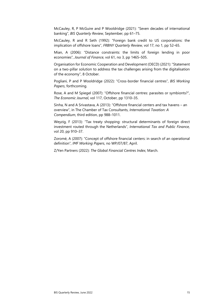McCauley, R, P McGuire and P Wooldridge (2021): "Seven decades of international banking", *BIS Quarterly Review*, September, pp 61–75.

McCauley, R and R Seth (1992): "Foreign bank credit to US corporations: the implication of offshore loans", *FRBNY Quarterly Review*, vol 17, no 1, pp 52–65.

Mian, A (2006): "Distance constraints: the limits of foreign lending in poor economies", *Journal of Finance*, vol 61, no 3, pp 1465–505.

Organisation for Economic Cooperation and Development (OECD) (2021): "Statement on a two-pillar solution to address the tax challenges arising from the digitalisation of the economy", 8 October.

Pogliani, P and P Wooldridge (2022): "Cross-border financial centres", *BIS Working Papers*, forthcoming.

Rose, A and M Spiegel (2007): "Offshore financial centres: parasites or symbionts?", *The Economic Journal*, vol 117, October, pp 1310–35.

Sinha, N and A Srivastava, A (2013): "Offshore financial centers and tax havens – an overview", in The Chamber of Tax Consultants, *International Taxation: A Compendium*, third edition, pp 988–1011.

Weyzig, F (2013): "Tax treaty shopping: structural determinants of foreign direct investment routed through the Netherlands", *International Tax and Public Finance,*  vol 20, pp 910–37.

Zoromé, A (2007): "Concept of offshore financial centers: in search of an operational definition", *IMF Working Papers*, no WP/07/87, April.

Z/Yen Partners (2022): *The Global Financial Centres Index*, March.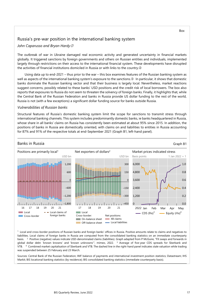## Russia's pre-war position in the international banking system

#### *John Caparusso and Bryan Hardy*

The outbreak of war in Ukraine damaged real economic activity and generated uncertainty in financial markets globally. It triggered sanctions by foreign governments and others on Russian entities and individuals, implemented largely through restrictions on their access to the international financial system. These developments have disrupted the activities of financial institutions domiciled in Russia or with links to the country.

Using data up to end-2021 – thus prior to the war – this box examines features of the Russian banking system as well as aspects of the international banking system's exposure to the sanctions.<sup>®</sup> In particular, it shows that domestic banks dominate the Russian banking sector and that their business is largely local. Nevertheless, market reactions suggest concerns, possibly related to these banks' USD positions and the credit risk of local borrowers. The box also reports that exposures to Russia do not seem to threaten the solvency of foreign banks. Finally, it highlights that, while the Central Bank of the Russian Federation and banks in Russia provide US dollar funding to the rest of the world, Russia is not (with a few exceptions) a significant dollar funding source for banks outside Russia.

#### *Vulnerabilities of Russian banks*

Structural features of Russia's domestic banking system limit the scope for sanctions to transmit stress through international banking channels. This system includes predominantly domestic banks, ie banks headquartered in Russia, whose share in all banks' claims on Russia has consistently been estimated at about 95% since 2015. In addition, the positions of banks in Russia are domestically oriented, with claims on and liabilities to entities in Russia accounting for 87% and 91% of the respective totals at end-September 2021 (Graph B1, left-hand panel).



1 Local and cross-border positions of Russian banks and foreign banks' offices in Russia. Positive amounts relate to claims and negatives to liabilities. Local claims of foreign banks in Russia are computed from the consolidated banking statistics on an immediate counterparty basis. <sup>2</sup> Positive (negative) values indicate USD-denominated claims (liabilities). Graph adapted from P McGuire, "FX swaps and forwards in global dollar debt: 'known knowns' and 'known unknowns'", mimeo, 2022*.* <sup>3</sup>Average of five-year CDS spreads for Sberbank and VTB. <sup>4</sup> Combined market capitalisation of Sberbank and VTB. The dashed line in the right-hand panel indicates stale valuation while trading was suspended between 25 February and 23 March.

Sources: Central Bank of the Russian Federation; IMF balance of payments and international investment position statistics; Datastream; IHS Markit; BIS locational banking statistics (by residence); BIS consolidated banking statistics (immediate counterparty basis).

Box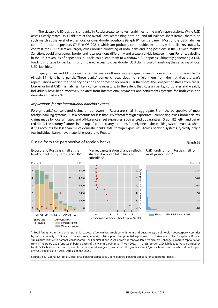The sizeable USD positions of banks in Russia create some vulnerabilities to the war's repercussions. While USD assets closely match USD liabilities at the overall level (combining both on- and off-balance sheet items), there is no such match at the level of either local or cross-border positions (Graph B1, centre panel). Most of the USD liabilities come from local depositors (74% in Q3 2021), which are probably commodities exporters with dollar revenues. By contrast, the USD assets are largely cross-border, consisting of both loans and long positions in the FX swap market. Sanctions could affect cross-border and local positions differently and create a divide between them. For one, a decline in the USD revenues of depositors in Russia could lead them to withdraw USD deposits, ultimately generating a USD funding shortage for banks. In turn, impaired access to cross-border USD claims could hamstring the servicing of local USD liabilities.

Equity prices and CDS spreads after the war's outbreak suggest great investor concerns about Russian banks (Graph B1, right-hand panel). These banks' domestic focus does not shield them from the risk that the war's repercussions worsen the solvency positions of domestic borrowers. Furthermore, the prospect of stress from crossborder or local USD mismatches likely concerns investors, to the extent that Russian banks, corporates and wealthy individuals have been effectively isolated from international payments and settlements systems for both cash and derivatives markets.

#### *Implications for the international banking system*

Foreign banks' consolidated claims on borrowers in Russia are small in aggregate. From the perspective of most foreign banking systems, Russia accounts for less than 1% of total foreign exposures – comprising cross-border claims, claims made by local affiliates, and off-balance sheet exposures, such as credit guarantees (Graph B2, left-hand panel, red dots). The country features in the top 10 counterparty locations for only one major banking system, Austria, where it still accounts for less than 5% of domestic banks' total foreign exposures. Across banking systems, typically only a few individual banks have material exposure to Russia.



1 Total foreign claims and other potential exposure (derivatives, credit commitments and guarantees) on all foreign counterparty countries by bank nationality. <sup>2</sup> Share in total exposure, ie foreign claims plus other potential exposures. <sup>3</sup> Horizonal axis: Tier 1 capital of Russian subsidiaries relative to parents' consolidated Tier 1 capital at end-2021 or most recent available. Vertical axis: change in market capitalisation from 17 February 2022 (one week before onset of the war in Ukraine) to 17 May 2022. 4 Cross-border USD liabilities to Russia divided by total USD liabilities. Each bar represents banks located in a given jurisdiction. The graph shows 47 jurisdictions, seven of which do not report any USD liabilities to Russia. Data as of end-2021.

Sources: S&P Capital IQ Pro; BIS locational banking statistics; BIS consolidated banking statistics (on a guarantor basis).